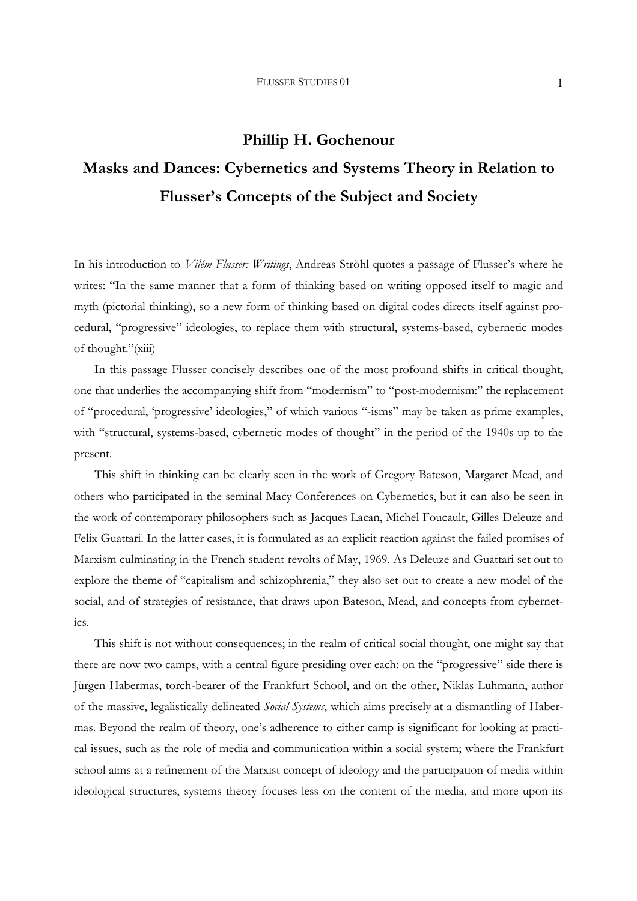## **Phillip H. Gochenour**

# **Masks and Dances: Cybernetics and Systems Theory in Relation to Flusser's Concepts of the Subject and Society**

In his introduction to *Vilém Flusser: Writings*, Andreas Ströhl quotes a passage of Flusser's where he writes: "In the same manner that a form of thinking based on writing opposed itself to magic and myth (pictorial thinking), so a new form of thinking based on digital codes directs itself against procedural, "progressive" ideologies, to replace them with structural, systems-based, cybernetic modes of thought."(xiii)

 In this passage Flusser concisely describes one of the most profound shifts in critical thought, one that underlies the accompanying shift from "modernism" to "post-modernism:" the replacement of "procedural, 'progressive' ideologies," of which various "-isms" may be taken as prime examples, with "structural, systems-based, cybernetic modes of thought" in the period of the 1940s up to the present.

 This shift in thinking can be clearly seen in the work of Gregory Bateson, Margaret Mead, and others who participated in the seminal Macy Conferences on Cybernetics, but it can also be seen in the work of contemporary philosophers such as Jacques Lacan, Michel Foucault, Gilles Deleuze and Felix Guattari. In the latter cases, it is formulated as an explicit reaction against the failed promises of Marxism culminating in the French student revolts of May, 1969. As Deleuze and Guattari set out to explore the theme of "capitalism and schizophrenia," they also set out to create a new model of the social, and of strategies of resistance, that draws upon Bateson, Mead, and concepts from cybernetics.

 This shift is not without consequences; in the realm of critical social thought, one might say that there are now two camps, with a central figure presiding over each: on the "progressive" side there is Jürgen Habermas, torch-bearer of the Frankfurt School, and on the other, Niklas Luhmann, author of the massive, legalistically delineated *Social Systems*, which aims precisely at a dismantling of Habermas. Beyond the realm of theory, one's adherence to either camp is significant for looking at practical issues, such as the role of media and communication within a social system; where the Frankfurt school aims at a refinement of the Marxist concept of ideology and the participation of media within ideological structures, systems theory focuses less on the content of the media, and more upon its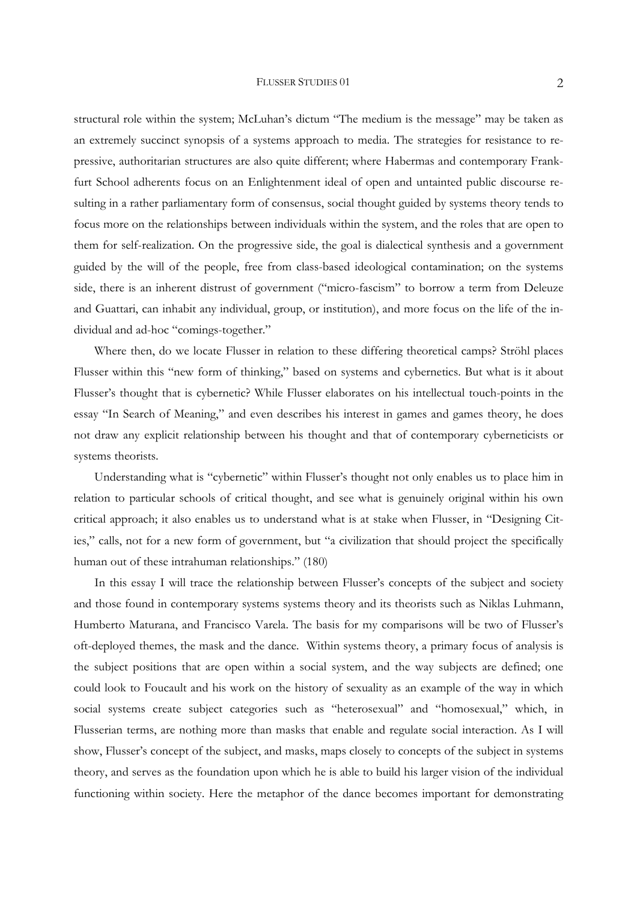structural role within the system; McLuhan's dictum "The medium is the message" may be taken as an extremely succinct synopsis of a systems approach to media. The strategies for resistance to repressive, authoritarian structures are also quite different; where Habermas and contemporary Frankfurt School adherents focus on an Enlightenment ideal of open and untainted public discourse resulting in a rather parliamentary form of consensus, social thought guided by systems theory tends to focus more on the relationships between individuals within the system, and the roles that are open to them for self-realization. On the progressive side, the goal is dialectical synthesis and a government guided by the will of the people, free from class-based ideological contamination; on the systems side, there is an inherent distrust of government ("micro-fascism" to borrow a term from Deleuze and Guattari, can inhabit any individual, group, or institution), and more focus on the life of the individual and ad-hoc "comings-together."

 Where then, do we locate Flusser in relation to these differing theoretical camps? Ströhl places Flusser within this "new form of thinking," based on systems and cybernetics. But what is it about Flusser's thought that is cybernetic? While Flusser elaborates on his intellectual touch-points in the essay "In Search of Meaning," and even describes his interest in games and games theory, he does not draw any explicit relationship between his thought and that of contemporary cyberneticists or systems theorists.

 Understanding what is "cybernetic" within Flusser's thought not only enables us to place him in relation to particular schools of critical thought, and see what is genuinely original within his own critical approach; it also enables us to understand what is at stake when Flusser, in "Designing Cities," calls, not for a new form of government, but "a civilization that should project the specifically human out of these intrahuman relationships." (180)

 In this essay I will trace the relationship between Flusser's concepts of the subject and society and those found in contemporary systems systems theory and its theorists such as Niklas Luhmann, Humberto Maturana, and Francisco Varela. The basis for my comparisons will be two of Flusser's oft-deployed themes, the mask and the dance. Within systems theory, a primary focus of analysis is the subject positions that are open within a social system, and the way subjects are defined; one could look to Foucault and his work on the history of sexuality as an example of the way in which social systems create subject categories such as "heterosexual" and "homosexual," which, in Flusserian terms, are nothing more than masks that enable and regulate social interaction. As I will show, Flusser's concept of the subject, and masks, maps closely to concepts of the subject in systems theory, and serves as the foundation upon which he is able to build his larger vision of the individual functioning within society. Here the metaphor of the dance becomes important for demonstrating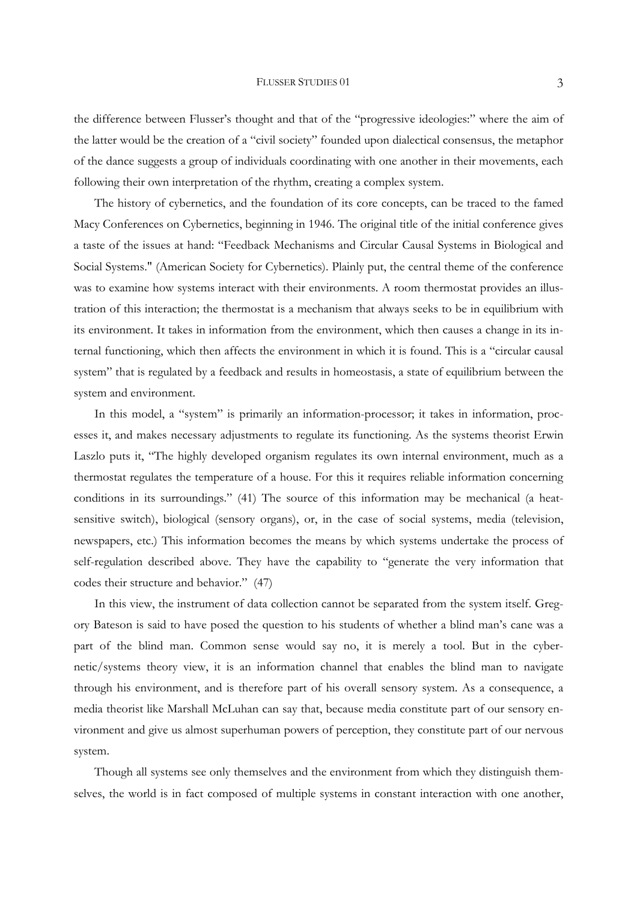the difference between Flusser's thought and that of the "progressive ideologies:" where the aim of the latter would be the creation of a "civil society" founded upon dialectical consensus, the metaphor of the dance suggests a group of individuals coordinating with one another in their movements, each following their own interpretation of the rhythm, creating a complex system.

 The history of cybernetics, and the foundation of its core concepts, can be traced to the famed Macy Conferences on Cybernetics, beginning in 1946. The original title of the initial conference gives a taste of the issues at hand: "Feedback Mechanisms and Circular Causal Systems in Biological and Social Systems." (American Society for Cybernetics). Plainly put, the central theme of the conference was to examine how systems interact with their environments. A room thermostat provides an illustration of this interaction; the thermostat is a mechanism that always seeks to be in equilibrium with its environment. It takes in information from the environment, which then causes a change in its internal functioning, which then affects the environment in which it is found. This is a "circular causal system" that is regulated by a feedback and results in homeostasis, a state of equilibrium between the system and environment.

 In this model, a "system" is primarily an information-processor; it takes in information, processes it, and makes necessary adjustments to regulate its functioning. As the systems theorist Erwin Laszlo puts it, "The highly developed organism regulates its own internal environment, much as a thermostat regulates the temperature of a house. For this it requires reliable information concerning conditions in its surroundings." (41) The source of this information may be mechanical (a heatsensitive switch), biological (sensory organs), or, in the case of social systems, media (television, newspapers, etc.) This information becomes the means by which systems undertake the process of self-regulation described above. They have the capability to "generate the very information that codes their structure and behavior." (47)

 In this view, the instrument of data collection cannot be separated from the system itself. Gregory Bateson is said to have posed the question to his students of whether a blind man's cane was a part of the blind man. Common sense would say no, it is merely a tool. But in the cybernetic/systems theory view, it is an information channel that enables the blind man to navigate through his environment, and is therefore part of his overall sensory system. As a consequence, a media theorist like Marshall McLuhan can say that, because media constitute part of our sensory environment and give us almost superhuman powers of perception, they constitute part of our nervous system.

 Though all systems see only themselves and the environment from which they distinguish themselves, the world is in fact composed of multiple systems in constant interaction with one another,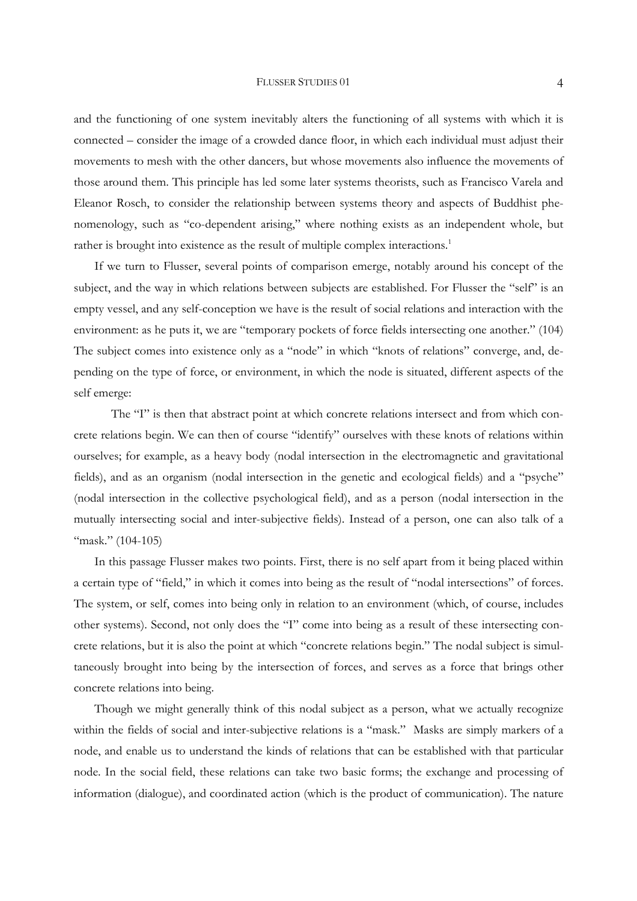#### FLUSSER STUDIES 01 4

and the functioning of one system inevitably alters the functioning of all systems with which it is connected – consider the image of a crowded dance floor, in which each individual must adjust their movements to mesh with the other dancers, but whose movements also influence the movements of those around them. This principle has led some later systems theorists, such as Francisco Varela and Eleanor Rosch, to consider the relationship between systems theory and aspects of Buddhist phenomenology, such as "co-dependent arising," where nothing exists as an independent whole, but rather is brought into existence as the result of multiple complex interactions.<sup>1</sup>

 If we turn to Flusser, several points of comparison emerge, notably around his concept of the subject, and the way in which relations between subjects are established. For Flusser the "self" is an empty vessel, and any self-conception we have is the result of social relations and interaction with the environment: as he puts it, we are "temporary pockets of force fields intersecting one another." (104) The subject comes into existence only as a "node" in which "knots of relations" converge, and, depending on the type of force, or environment, in which the node is situated, different aspects of the self emerge:

 The "I" is then that abstract point at which concrete relations intersect and from which concrete relations begin. We can then of course "identify" ourselves with these knots of relations within ourselves; for example, as a heavy body (nodal intersection in the electromagnetic and gravitational fields), and as an organism (nodal intersection in the genetic and ecological fields) and a "psyche" (nodal intersection in the collective psychological field), and as a person (nodal intersection in the mutually intersecting social and inter-subjective fields). Instead of a person, one can also talk of a "mask." (104-105)

 In this passage Flusser makes two points. First, there is no self apart from it being placed within a certain type of "field," in which it comes into being as the result of "nodal intersections" of forces. The system, or self, comes into being only in relation to an environment (which, of course, includes other systems). Second, not only does the "I" come into being as a result of these intersecting concrete relations, but it is also the point at which "concrete relations begin." The nodal subject is simultaneously brought into being by the intersection of forces, and serves as a force that brings other concrete relations into being.

 Though we might generally think of this nodal subject as a person, what we actually recognize within the fields of social and inter-subjective relations is a "mask." Masks are simply markers of a node, and enable us to understand the kinds of relations that can be established with that particular node. In the social field, these relations can take two basic forms; the exchange and processing of information (dialogue), and coordinated action (which is the product of communication). The nature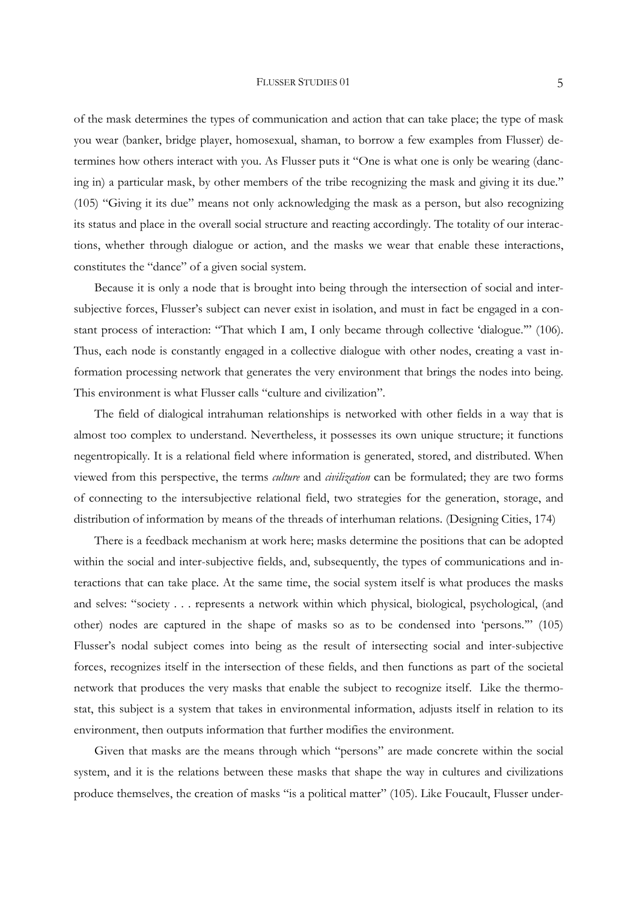of the mask determines the types of communication and action that can take place; the type of mask you wear (banker, bridge player, homosexual, shaman, to borrow a few examples from Flusser) determines how others interact with you. As Flusser puts it "One is what one is only be wearing (dancing in) a particular mask, by other members of the tribe recognizing the mask and giving it its due." (105) "Giving it its due" means not only acknowledging the mask as a person, but also recognizing its status and place in the overall social structure and reacting accordingly. The totality of our interactions, whether through dialogue or action, and the masks we wear that enable these interactions, constitutes the "dance" of a given social system.

 Because it is only a node that is brought into being through the intersection of social and intersubjective forces, Flusser's subject can never exist in isolation, and must in fact be engaged in a constant process of interaction: "That which I am, I only became through collective 'dialogue.'" (106). Thus, each node is constantly engaged in a collective dialogue with other nodes, creating a vast information processing network that generates the very environment that brings the nodes into being. This environment is what Flusser calls "culture and civilization".

 The field of dialogical intrahuman relationships is networked with other fields in a way that is almost too complex to understand. Nevertheless, it possesses its own unique structure; it functions negentropically. It is a relational field where information is generated, stored, and distributed. When viewed from this perspective, the terms *culture* and *civilization* can be formulated; they are two forms of connecting to the intersubjective relational field, two strategies for the generation, storage, and distribution of information by means of the threads of interhuman relations. (Designing Cities, 174)

 There is a feedback mechanism at work here; masks determine the positions that can be adopted within the social and inter-subjective fields, and, subsequently, the types of communications and interactions that can take place. At the same time, the social system itself is what produces the masks and selves: "society . . . represents a network within which physical, biological, psychological, (and other) nodes are captured in the shape of masks so as to be condensed into 'persons.'" (105) Flusser's nodal subject comes into being as the result of intersecting social and inter-subjective forces, recognizes itself in the intersection of these fields, and then functions as part of the societal network that produces the very masks that enable the subject to recognize itself. Like the thermostat, this subject is a system that takes in environmental information, adjusts itself in relation to its environment, then outputs information that further modifies the environment.

 Given that masks are the means through which "persons" are made concrete within the social system, and it is the relations between these masks that shape the way in cultures and civilizations produce themselves, the creation of masks "is a political matter" (105). Like Foucault, Flusser under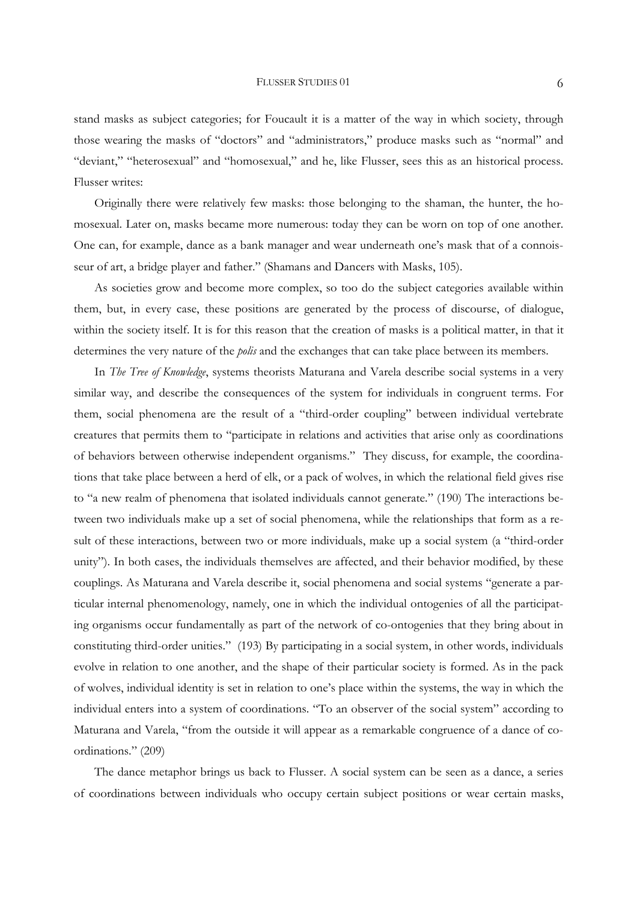stand masks as subject categories; for Foucault it is a matter of the way in which society, through those wearing the masks of "doctors" and "administrators," produce masks such as "normal" and "deviant," "heterosexual" and "homosexual," and he, like Flusser, sees this as an historical process. Flusser writes:

 Originally there were relatively few masks: those belonging to the shaman, the hunter, the homosexual. Later on, masks became more numerous: today they can be worn on top of one another. One can, for example, dance as a bank manager and wear underneath one's mask that of a connoisseur of art, a bridge player and father." (Shamans and Dancers with Masks, 105).

 As societies grow and become more complex, so too do the subject categories available within them, but, in every case, these positions are generated by the process of discourse, of dialogue, within the society itself. It is for this reason that the creation of masks is a political matter, in that it determines the very nature of the *polis* and the exchanges that can take place between its members.

 In *The Tree of Knowledge*, systems theorists Maturana and Varela describe social systems in a very similar way, and describe the consequences of the system for individuals in congruent terms. For them, social phenomena are the result of a "third-order coupling" between individual vertebrate creatures that permits them to "participate in relations and activities that arise only as coordinations of behaviors between otherwise independent organisms." They discuss, for example, the coordinations that take place between a herd of elk, or a pack of wolves, in which the relational field gives rise to "a new realm of phenomena that isolated individuals cannot generate." (190) The interactions between two individuals make up a set of social phenomena, while the relationships that form as a result of these interactions, between two or more individuals, make up a social system (a "third-order unity"). In both cases, the individuals themselves are affected, and their behavior modified, by these couplings. As Maturana and Varela describe it, social phenomena and social systems "generate a particular internal phenomenology, namely, one in which the individual ontogenies of all the participating organisms occur fundamentally as part of the network of co-ontogenies that they bring about in constituting third-order unities." (193) By participating in a social system, in other words, individuals evolve in relation to one another, and the shape of their particular society is formed. As in the pack of wolves, individual identity is set in relation to one's place within the systems, the way in which the individual enters into a system of coordinations. "To an observer of the social system" according to Maturana and Varela, "from the outside it will appear as a remarkable congruence of a dance of coordinations." (209)

 The dance metaphor brings us back to Flusser. A social system can be seen as a dance, a series of coordinations between individuals who occupy certain subject positions or wear certain masks,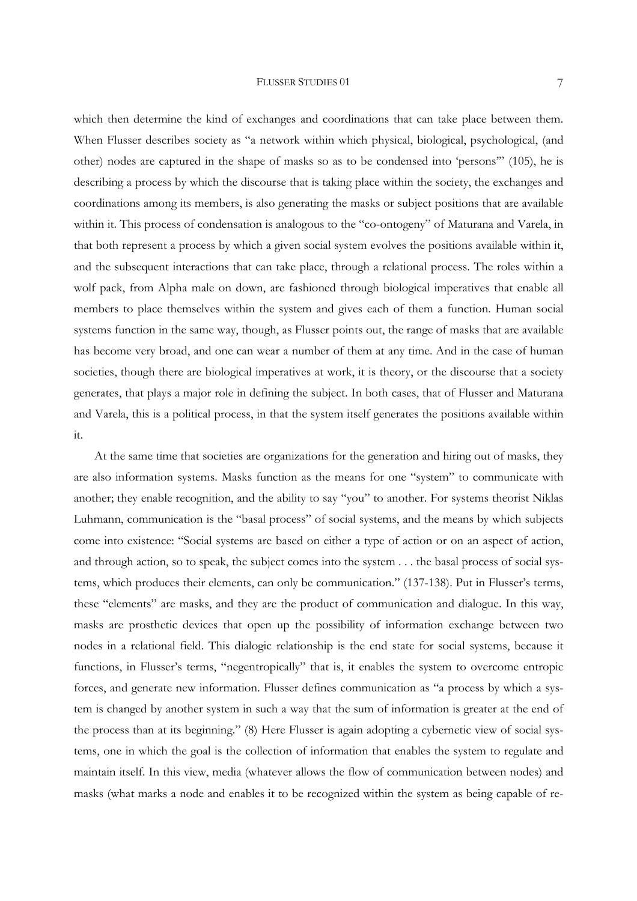#### FLUSSER STUDIES 01 7

which then determine the kind of exchanges and coordinations that can take place between them. When Flusser describes society as "a network within which physical, biological, psychological, (and other) nodes are captured in the shape of masks so as to be condensed into 'persons'" (105), he is describing a process by which the discourse that is taking place within the society, the exchanges and coordinations among its members, is also generating the masks or subject positions that are available within it. This process of condensation is analogous to the "co-ontogeny" of Maturana and Varela, in that both represent a process by which a given social system evolves the positions available within it, and the subsequent interactions that can take place, through a relational process. The roles within a wolf pack, from Alpha male on down, are fashioned through biological imperatives that enable all members to place themselves within the system and gives each of them a function. Human social systems function in the same way, though, as Flusser points out, the range of masks that are available has become very broad, and one can wear a number of them at any time. And in the case of human societies, though there are biological imperatives at work, it is theory, or the discourse that a society generates, that plays a major role in defining the subject. In both cases, that of Flusser and Maturana and Varela, this is a political process, in that the system itself generates the positions available within it.

 At the same time that societies are organizations for the generation and hiring out of masks, they are also information systems. Masks function as the means for one "system" to communicate with another; they enable recognition, and the ability to say "you" to another. For systems theorist Niklas Luhmann, communication is the "basal process" of social systems, and the means by which subjects come into existence: "Social systems are based on either a type of action or on an aspect of action, and through action, so to speak, the subject comes into the system . . . the basal process of social systems, which produces their elements, can only be communication." (137-138). Put in Flusser's terms, these "elements" are masks, and they are the product of communication and dialogue. In this way, masks are prosthetic devices that open up the possibility of information exchange between two nodes in a relational field. This dialogic relationship is the end state for social systems, because it functions, in Flusser's terms, "negentropically" that is, it enables the system to overcome entropic forces, and generate new information. Flusser defines communication as "a process by which a system is changed by another system in such a way that the sum of information is greater at the end of the process than at its beginning." (8) Here Flusser is again adopting a cybernetic view of social systems, one in which the goal is the collection of information that enables the system to regulate and maintain itself. In this view, media (whatever allows the flow of communication between nodes) and masks (what marks a node and enables it to be recognized within the system as being capable of re-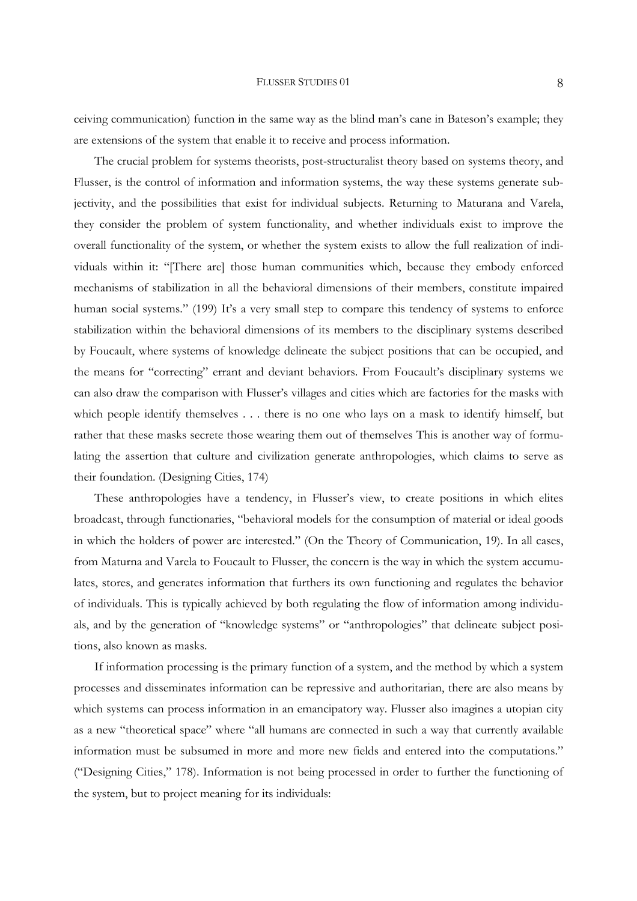#### FLUSSER STUDIES 01 8

ceiving communication) function in the same way as the blind man's cane in Bateson's example; they are extensions of the system that enable it to receive and process information.

 The crucial problem for systems theorists, post-structuralist theory based on systems theory, and Flusser, is the control of information and information systems, the way these systems generate subjectivity, and the possibilities that exist for individual subjects. Returning to Maturana and Varela, they consider the problem of system functionality, and whether individuals exist to improve the overall functionality of the system, or whether the system exists to allow the full realization of individuals within it: "[There are] those human communities which, because they embody enforced mechanisms of stabilization in all the behavioral dimensions of their members, constitute impaired human social systems." (199) It's a very small step to compare this tendency of systems to enforce stabilization within the behavioral dimensions of its members to the disciplinary systems described by Foucault, where systems of knowledge delineate the subject positions that can be occupied, and the means for "correcting" errant and deviant behaviors. From Foucault's disciplinary systems we can also draw the comparison with Flusser's villages and cities which are factories for the masks with which people identify themselves . . . there is no one who lays on a mask to identify himself, but rather that these masks secrete those wearing them out of themselves This is another way of formulating the assertion that culture and civilization generate anthropologies, which claims to serve as their foundation. (Designing Cities, 174)

 These anthropologies have a tendency, in Flusser's view, to create positions in which elites broadcast, through functionaries, "behavioral models for the consumption of material or ideal goods in which the holders of power are interested." (On the Theory of Communication, 19). In all cases, from Maturna and Varela to Foucault to Flusser, the concern is the way in which the system accumulates, stores, and generates information that furthers its own functioning and regulates the behavior of individuals. This is typically achieved by both regulating the flow of information among individuals, and by the generation of "knowledge systems" or "anthropologies" that delineate subject positions, also known as masks.

 If information processing is the primary function of a system, and the method by which a system processes and disseminates information can be repressive and authoritarian, there are also means by which systems can process information in an emancipatory way. Flusser also imagines a utopian city as a new "theoretical space" where "all humans are connected in such a way that currently available information must be subsumed in more and more new fields and entered into the computations." ("Designing Cities," 178). Information is not being processed in order to further the functioning of the system, but to project meaning for its individuals: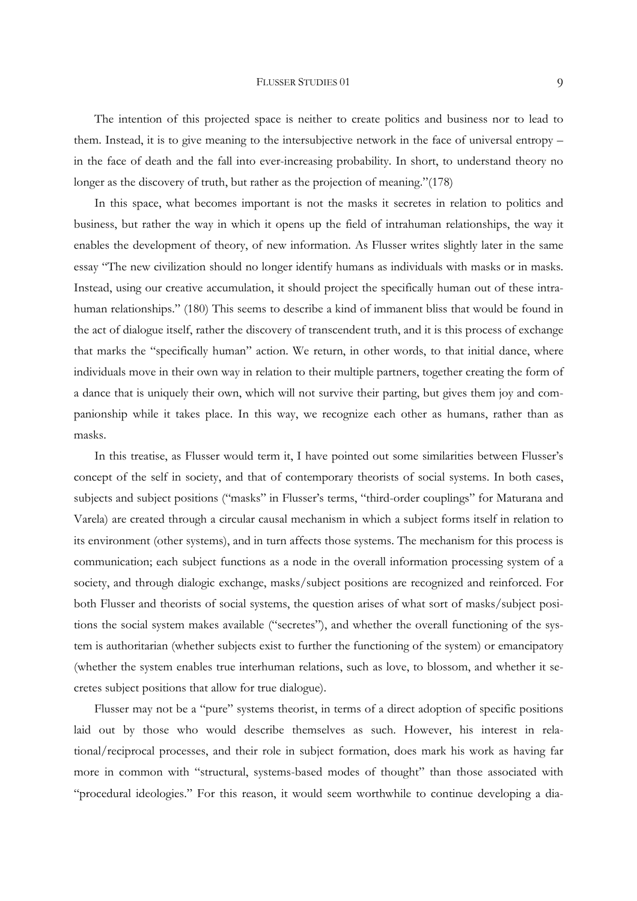The intention of this projected space is neither to create politics and business nor to lead to them. Instead, it is to give meaning to the intersubjective network in the face of universal entropy – in the face of death and the fall into ever-increasing probability. In short, to understand theory no longer as the discovery of truth, but rather as the projection of meaning."(178)

 In this space, what becomes important is not the masks it secretes in relation to politics and business, but rather the way in which it opens up the field of intrahuman relationships, the way it enables the development of theory, of new information. As Flusser writes slightly later in the same essay "The new civilization should no longer identify humans as individuals with masks or in masks. Instead, using our creative accumulation, it should project the specifically human out of these intrahuman relationships." (180) This seems to describe a kind of immanent bliss that would be found in the act of dialogue itself, rather the discovery of transcendent truth, and it is this process of exchange that marks the "specifically human" action. We return, in other words, to that initial dance, where individuals move in their own way in relation to their multiple partners, together creating the form of a dance that is uniquely their own, which will not survive their parting, but gives them joy and companionship while it takes place. In this way, we recognize each other as humans, rather than as masks.

 In this treatise, as Flusser would term it, I have pointed out some similarities between Flusser's concept of the self in society, and that of contemporary theorists of social systems. In both cases, subjects and subject positions ("masks" in Flusser's terms, "third-order couplings" for Maturana and Varela) are created through a circular causal mechanism in which a subject forms itself in relation to its environment (other systems), and in turn affects those systems. The mechanism for this process is communication; each subject functions as a node in the overall information processing system of a society, and through dialogic exchange, masks/subject positions are recognized and reinforced. For both Flusser and theorists of social systems, the question arises of what sort of masks/subject positions the social system makes available ("secretes"), and whether the overall functioning of the system is authoritarian (whether subjects exist to further the functioning of the system) or emancipatory (whether the system enables true interhuman relations, such as love, to blossom, and whether it secretes subject positions that allow for true dialogue).

 Flusser may not be a "pure" systems theorist, in terms of a direct adoption of specific positions laid out by those who would describe themselves as such. However, his interest in relational/reciprocal processes, and their role in subject formation, does mark his work as having far more in common with "structural, systems-based modes of thought" than those associated with "procedural ideologies." For this reason, it would seem worthwhile to continue developing a dia